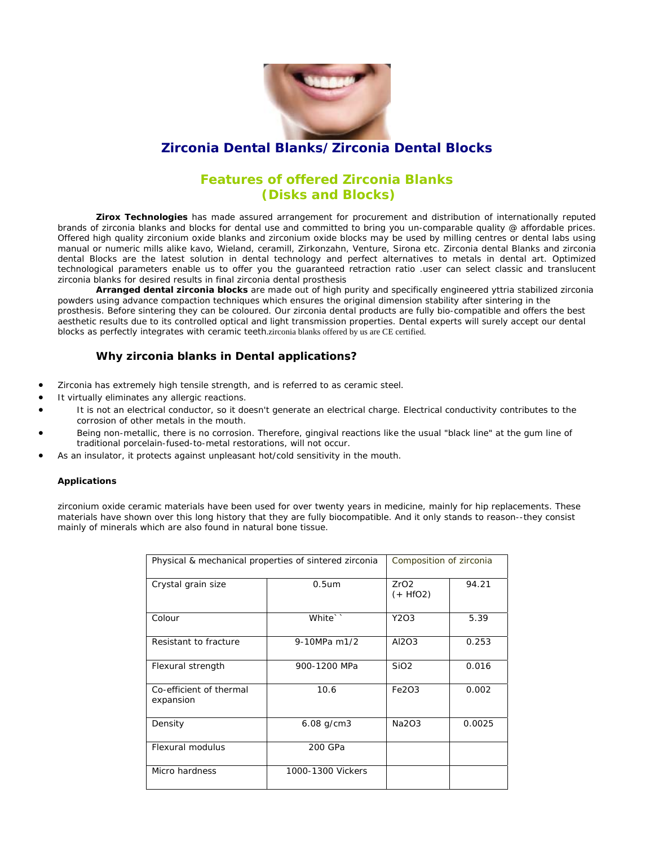

## **Zirconia Dental Blanks/Zirconia Dental Blocks**

## **Features of offered Zirconia Blanks (Disks and Blocks)**

**Zirox Technologies** has made assured arrangement for procurement and distribution of internationally reputed brands of zirconia blanks and blocks for dental use and committed to bring you un-comparable quality @ affordable prices. Offered high quality zirconium oxide blanks and zirconium oxide blocks may be used by milling centres or dental labs using manual or numeric mills alike kavo, Wieland, ceramill, Zirkonzahn, Venture, Sirona etc. Zirconia dental Blanks and zirconia dental Blocks are the latest solution in dental technology and perfect alternatives to metals in dental art. Optimized technological parameters enable us to offer you the guaranteed retraction ratio .user can select classic and translucent zirconia blanks for desired results in final zirconia dental prosthesis

**Arranged dental zirconia blocks** are made out of high purity and specifically engineered yttria stabilized zirconia powders using advance compaction techniques which ensures the original dimension stability after sintering in the prosthesis. Before sintering they can be coloured. Our zirconia dental products are fully bio-compatible and offers the best aesthetic results due to its controlled optical and light transmission properties. Dental experts will surely accept our dental blocks as perfectly integrates with ceramic teeth.zirconia blanks offered by us are CE certified.

### **Why zirconia blanks in Dental applications?**

- Zirconia has extremely high tensile strength, and is referred to as ceramic steel.
- It virtually eliminates any allergic reactions.
- It is not an electrical conductor, so it doesn't generate an electrical charge. Electrical conductivity contributes to the corrosion of other metals in the mouth.
- Being non-metallic, there is no corrosion. Therefore, gingival reactions like the usual "black line" at the gum line of traditional porcelain-fused-to-metal restorations, will not occur.
- As an insulator, it protects against unpleasant hot/cold sensitivity in the mouth.

#### **Applications**

zirconium oxide ceramic materials have been used for over twenty years in medicine, mainly for hip replacements. These materials have shown over this long history that they are fully biocompatible. And it only stands to reason--they consist mainly of minerals which are also found in natural bone tissue.

| Physical & mechanical properties of sintered zirconia |                   | Composition of zirconia |        |
|-------------------------------------------------------|-------------------|-------------------------|--------|
| Crystal grain size                                    | 0.5 <sub>um</sub> | ZrO2<br>$(+$ HfO2)      | 94.21  |
| Colour                                                | White``           | Y2O3                    | 5.39   |
| Resistant to fracture                                 | 9-10MPa m1/2      | AI2O3                   | 0.253  |
| Flexural strength                                     | 900-1200 MPa      | Si <sub>O</sub> 2       | 0.016  |
| Co-efficient of thermal<br>expansion                  | 10.6              | Fe2O3                   | 0.002  |
| Density                                               | $6.08$ g/cm3      | Na2O3                   | 0.0025 |
| Flexural modulus                                      | 200 GPa           |                         |        |
| Micro hardness                                        | 1000-1300 Vickers |                         |        |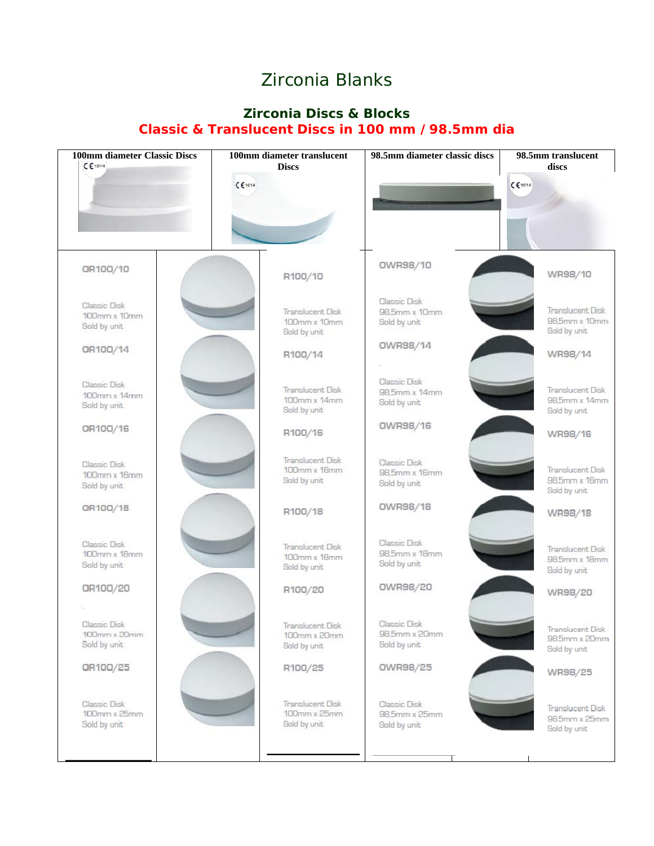# Zirconia Blanks

## **Zirconia Discs & Blocks Classic & Translucent Discs in 100 mm /98.5mm dia**

| <b>100mm</b> diameter Classic Discs<br>CE1014 | 100mm diameter translucent<br><b>Discs</b>       | 98.5mm diameter classic discs                 | 98.5mm translucent<br>discs                              |
|-----------------------------------------------|--------------------------------------------------|-----------------------------------------------|----------------------------------------------------------|
|                                               | C 61014                                          |                                               | CE1014                                                   |
|                                               |                                                  |                                               |                                                          |
| OR100/10                                      | R100/10                                          | OWR98/10                                      | WR98/10                                                  |
| Classic Disk<br>100mm x 10mm<br>Sold by unit  | Translucent Disk<br>100mm x 10mm<br>Sold by unit | Classic Disk<br>98,5mm x 10mm<br>Sold by unit | Translucent Disk<br>98,5mm x 10mm<br>Sold by unit        |
| OR100/14                                      | R100/14                                          | OWR98/14                                      | WR98/14                                                  |
| Classic Disk<br>100mm x 14mm<br>Sold by unit  | Translucent Disk<br>100mm x 14mm<br>Sold by unit | Classic Disk<br>98,5mm x 14mm<br>Sold by unit | <b>Translucent Disk</b><br>98,5mm x 14mm<br>Sold by unit |
| OR100/16                                      | R100/16                                          | <b>OWR98/16</b>                               | WR98/16                                                  |
| Classic Disk<br>100mm x 16mm<br>Sold by unit  | Translucent Disk<br>100mm x 16mm<br>Sold by unit | Classic Disk<br>98,5mm x 16mm<br>Sold by unit | <b>Translucent Disk</b><br>98.5mm x 16mm<br>Sold by unit |
| OR100/18                                      | R100/18                                          | <b>OWR98/18</b>                               | WR98/18                                                  |
| Classic Disk<br>100mm x 18mm<br>Sold by unit  | Translucent Disk<br>100mm x 18mm<br>Sold by unit | Classic Disk<br>98,5mm x 18mm<br>Sold by unit | Translucent Disk<br>98.5mm x 18mm<br>Sold by unit        |
| OR100/20                                      | R100/20                                          | OWR98/20                                      | WR98/20                                                  |
| Classic Disk<br>100mm x 20mm<br>Sold by unit  | Translucent Disk<br>100mm x 20mm<br>Sold by unit | Classic Disk<br>98,5mm x 20mm<br>Sold by unit | Iranslucent Disk<br>98.5mm x 20mm<br>Sold by unit        |
| OR100/25                                      | R100/25                                          | OWR98/25                                      | WR98/25                                                  |
| Classic Disk<br>100mm x 25mm<br>Sold by unit  | Translucent Disk<br>100mm x 25mm<br>Sold by unit | Classic Disk<br>98,5mm x 25mm<br>Sold by unit | Translucent Disk<br>98.5mm x 25mm<br>Sold by unit        |
|                                               |                                                  |                                               |                                                          |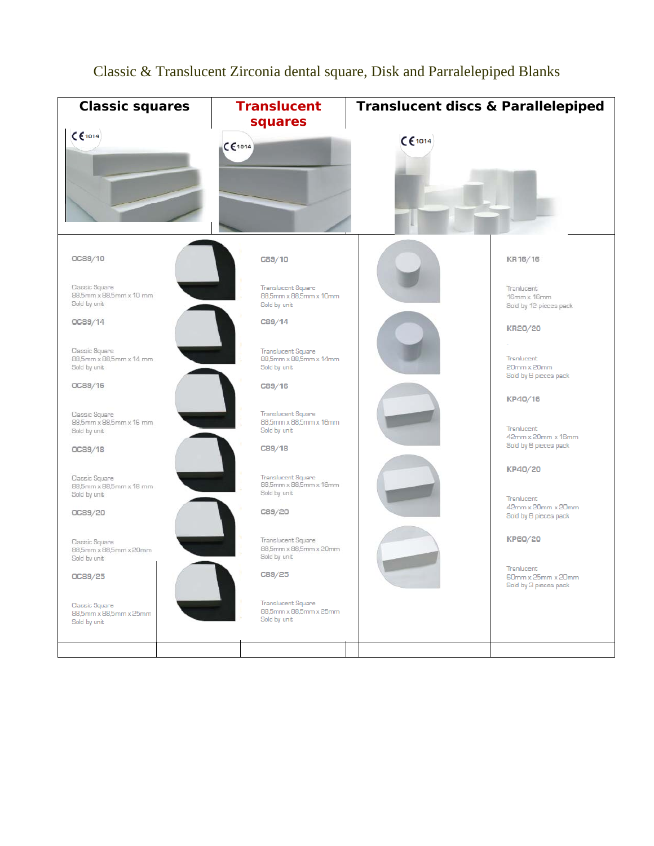

## Classic & Translucent Zirconia dental square, Disk and Parralelepiped Blanks